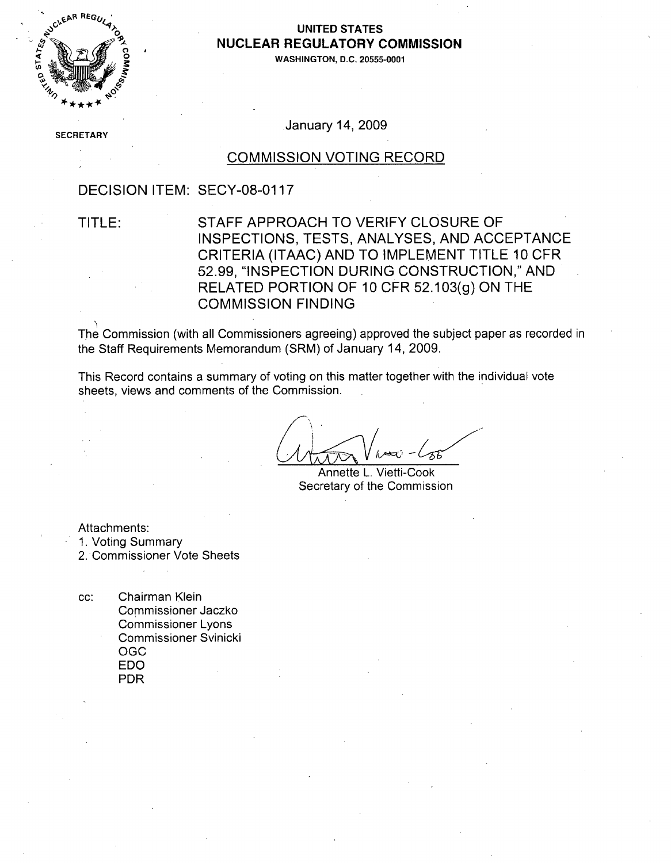

### UNITED STATES **NUCLEAR** REGULATORY **COMMISSION**

**WASHINGTON, D.C. 20555-0001**

**SECF** RETARY

January 14, 2009

### COMMISSION VOTING RECORD

### DECISION ITEM: SECY-08-0117

TITLE: STAFF APPROACH TO VERIFY CLOSURE OF INSPECTIONS, TESTS, ANALYSES, AND ACCEPTANCE CRITERIA (ITAAC) AND TO IMPLEMENT TITLE 10 CFR 52.99, "INSPECTION DURING CONSTRUCTION," AND RELATED PORTION OF 10 CFR 52.103(g) ON THE COMMISSION FINDING

The Commission (with all Commissioners agreeing) approved the subject paper as recorded in the Staff Requirements Memorandum (SRM) of January 14, 2009.

This Record contains a summary of voting on this matter together with the individual vote sheets, views and comments of the Commission.

Annette L. Vietti-Cook Secretary of the Commission

Attachments:

- 1. Voting Summary
- 2. Commissioner Vote Sheets
- cc: Chairman Klein Commissioner Jaczko Commissioner Lyons Commissioner Svinicki OGC EDO PDR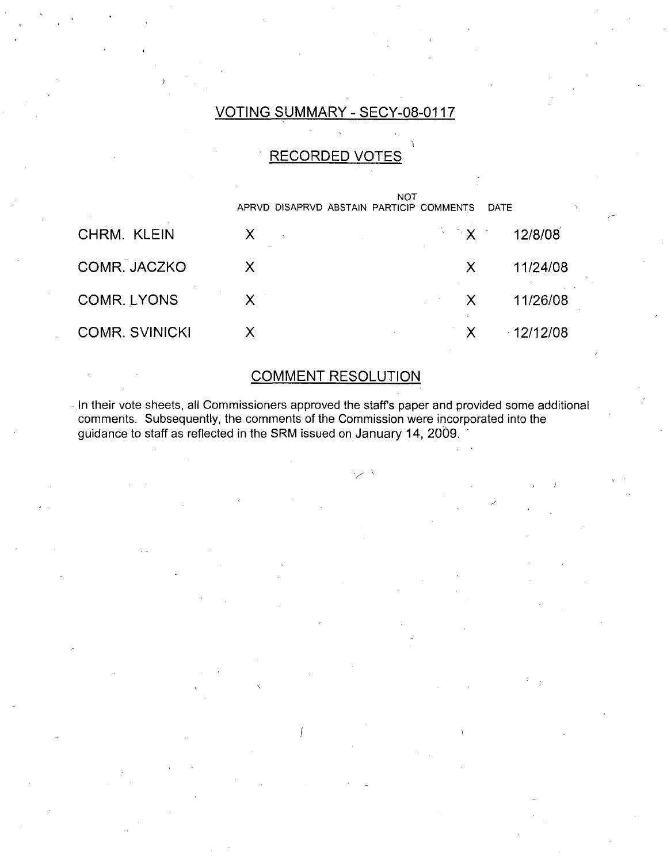## VOTING SUMMARY - SECY-08-0117

## RECORDED VOTES

|                       | NOT<br>APRVD DISAPRVD ABSTAIN PARTICIP COMMENTS<br><b>DATE</b> |              |               |
|-----------------------|----------------------------------------------------------------|--------------|---------------|
|                       |                                                                |              |               |
| CHRM. KLEIN           |                                                                |              | $X = 12/8/08$ |
| COMR. JACZKO          |                                                                | X.           | 11/24/08      |
| COMR. LYONS           |                                                                | $\mathsf{X}$ | 11/26/08      |
| <b>COMR. SVINICKI</b> |                                                                |              | $-12/12/08$   |

# COMMENT RESOLUTION

In their vote sheets, all Commissioners approved the staff's paper and provided some additional comments. Subsequently, the comments of the Commission were incorporated into the guidance to staff as reflected in the SRM issued on January 14, 2009. **'**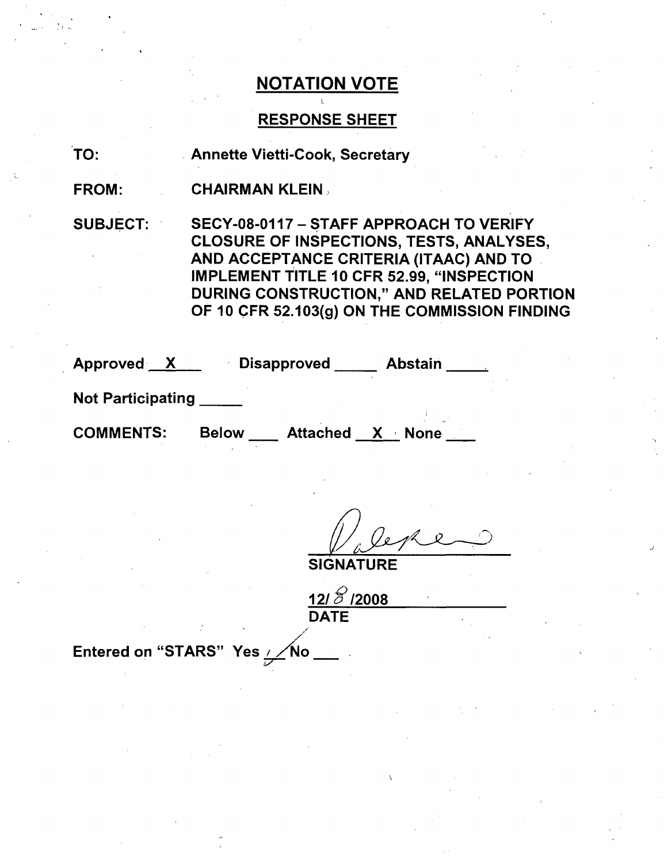## RESPONSE SHEET

TO: Annette Vietti-Cook, Secretary

FROM: CHAIRMAN KLEIN)

SUBJECT: SECY-08-0117 - STAFF APPROACH TO VERIFY CLOSURE OF INSPECTIONS, TESTS, ANALYSES, AND ACCEPTANCE CRITERIA (ITAAC) AND TO IMPLEMENT TITLE 10 CFR 52.99, "INSPECTION DURING CONSTRUCTION," AND RELATED PORTION OF 10 CFR 52.103(g) ON THE COMMISSION FINDING

| Approved X               |              | <b>Disapproved</b> | <b>Abstain</b>  |  |
|--------------------------|--------------|--------------------|-----------------|--|
| <b>Not Participating</b> |              |                    |                 |  |
| <b>COMMENTS:</b>         | <b>Below</b> |                    | Attached X None |  |

2

**SIGNATURE** 

**12/5** /2008 **DATE** 

Entered on "STARS" Yes / No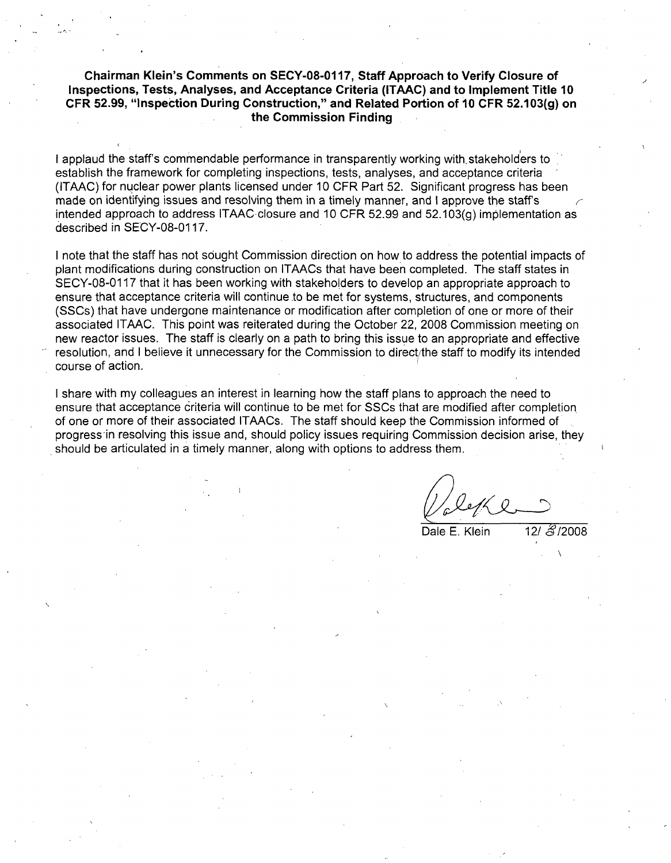### Chairman Klein's Comments on **SECY-08-0117,** Staff Approach to Verify Closure of Inspections, Tests, Analyses, and Acceptance Criteria **(ITAAC)** and to Implement Title **10** CFR **52.99,** "Inspection During Construction," and Related Portion of **10** CFR **52.103(g)** on the Commission Finding

I applaud the staff's commendable performance in transparently working with stakeholders to establish the framework for completing inspections, tests, analyses, and acceptance criteria (ITAAC) for nuclear power plants licensed under 10 CFR Part 52. Significant progress has been made on identifying issues and resolving them in a timely manner, and I approve the staff's intended approach to address ITAAC-closure and 10 CFR 52.99 and 52.103(g) implementation as described in SECY-08-0117.

I note that the staff has not sought Commission direction on how to address the potential impacts of plant modifications during construction on ITAACs that have been completed. The staff states in SECY-08-0117 that it has been working with stakeholders to develop an appropriate approach to ensure that acceptance criteria will continue to be met for systems, structures, and components (SSCs) that have undergone maintenance or modification after completion of one or more of their associated ITAAC. This point was reiterated during the October 22, 2008 Commission meeting on new reactor issues. The staff is clearly on a path to bring this issue to an appropriate and effective resolution, and I believe it unnecessary for the Commission to direct/the staff to modify its intended course of action.

I share with my colleagues an interest in learning how the staff plans to approach the need to ensure that acceptance criteria will continue to be met for SSCs that are modified after completion of one or more of their associated ITAACs. The staff should keep the Commission informed of progress in resolving this issue and, should policy issues requiring Commission decision arise, they should be articulated in a timely manner, along with options to address them.

Dale E. Klein  $12/\sqrt{3}/2008$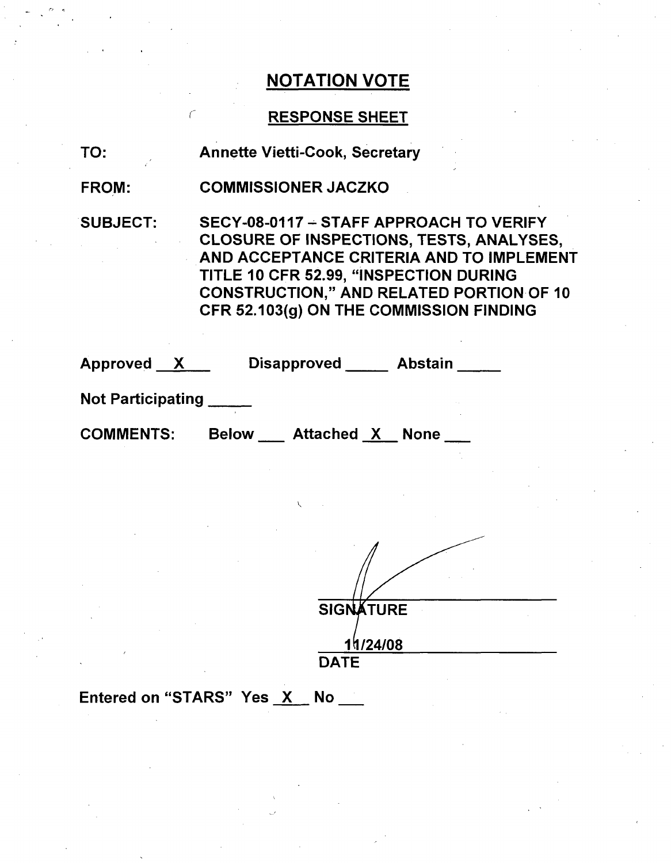## RESPONSE SHEET

TO: Annette Vietti-Cook, Secretary

FROM: COMMISSIONER JACZKO

SUBJECT: SECY-08-0117 - STAFF APPROACH TO VERIFY CLOSURE OF INSPECTIONS, TESTS, ANALYSES, AND ACCEPTANCE CRITERIA AND TO IMPLEMENT TITLE 10 CFR 52.99, "INSPECTION DURING CONSTRUCTION," AND RELATED PORTION OF 10 CFR 52.103(g) ON THE COMMISSION FINDING

| <b>Approved</b>          | <b>Disapproved</b> | <b>Abstain</b> |
|--------------------------|--------------------|----------------|
| <b>Not Participating</b> |                    |                |

COMMENTS: Below Attached X None

**SIGNATURE** I1/24108 **DATE**

Entered on "STARS" Yes X No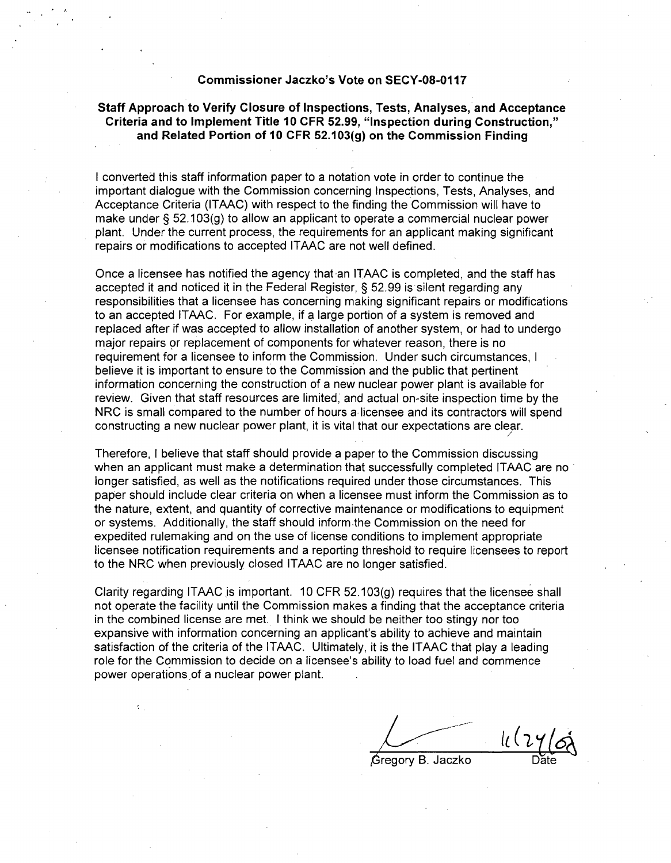#### Commissioner Jaczko's Vote on **SECY-08-0117**

### Staff Approach to Verify Closure of Inspections, Tests, Analyses, and Acceptance Criteria and to Implement Title **10** CFR **52.99,** "Inspection during Construction," and Related Portion of **10** CFR **52.103(g)** on the Commission Finding

I converted this staff information paper to a notation vote in order to continue the important dialogue with the Commission concerning Inspections, Tests, Analyses, and Acceptance Criteria (ITAAC) with respect to the finding the Commission will have to make under § 52.103(g) to allow an applicant to operate a commercial nuclear power plant. Under the current process, the requirements for an applicant making significant repairs or modifications to accepted ITAAC are not well defined.

Once a licensee has notified the agency that an ITAAC is completed, and the staff has accepted it and noticed it in the Federal Register, § 52.99 is silent regarding any responsibilities that a licensee has concerning making significant repairs or modifications to an accepted ITAAC. For example, if a large portion of a system is removed and replaced after if was accepted to allow installation of another system, or had to undergo major repairs or replacement of components for whatever reason, there is no requirement for a licensee to inform the Commission. Under such circumstances, I believe it is important to ensure to the Commission and the public that pertinent information concerning the construction of a new nuclear power plant is available for review. Given that staff resources are limited,' and actual on-site inspection time by the NRC is small compared to the number of hours a licensee and its contractors will spend constructing a new nuclear power plant, it is vital that our expectations are clear. /

Therefore, I believe that staff should provide a paper to the Commission discussing when an applicant must make a determination that successfully completed ITAAC are no longer satisfied, as well as the notifications required under those circumstances. This paper should include clear criteria on when a licensee must inform the Commission as to the nature, extent, and quantity of corrective maintenance or modifications to equipment or systems. Additionally, the staff should inform-the Commission on the need for expedited rulemaking and on the use of license conditions to implement appropriate licensee notification requirements and a reporting threshold to require licensees to report to the NRC when previously closed ITAAC are no longer satisfied.

Clarity regarding ITAAC is important. 10 CFR 52.103(g) requires that the licensee shall not operate the facility until the Commission makes a finding that the acceptance criteria in the combined license are met. I think we should be neither too stingy nor too expansive with information concerning an applicant's ability to achieve and maintain satisfaction of the criteria of the ITAAC. Ultimately, it is the ITAAC that play a leading role for the Commission to decide on a licensee's ability to load fuel and commence power operations of a nuclear power plant.

Gregory B. Jaczko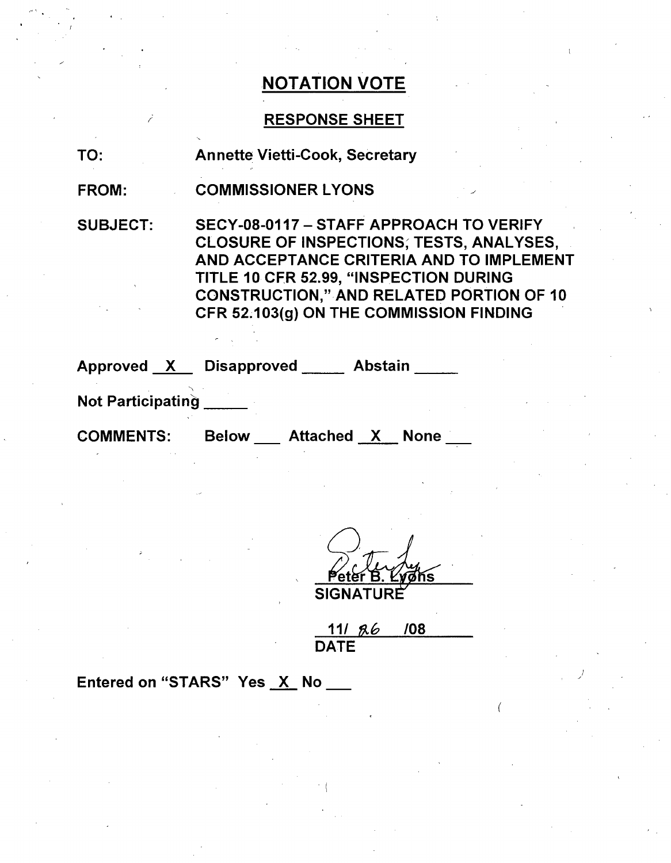### RESPONSE SHEET

TO: Annette Vietti-Cook, Secretary

FROM: COMMISSIONER LYONS

SUBJECT: SECY-08-0117 - STAFF APPROACH TO VERIFY CLOSURE OF INSPECTIONS; TESTS, ANALYSES, AND ACCEPTANCE CRITERIA AND TO IMPLEMENT TITLE 10 CFR 52.99, "INSPECTION DURING CONSTRUCTION," AND RELATED PORTION OF 10 CFR 52.103(g) ON THE COMMISSION FINDING

Approved <u>X Disapproved Abstain</u>

Not Participating

COMMENTS: Below \_\_ Attached X None \_\_

Peter B. Ly **SIGNATURf**

**11/ A& 108 DATE** 

Entered on "STARS" Yes X No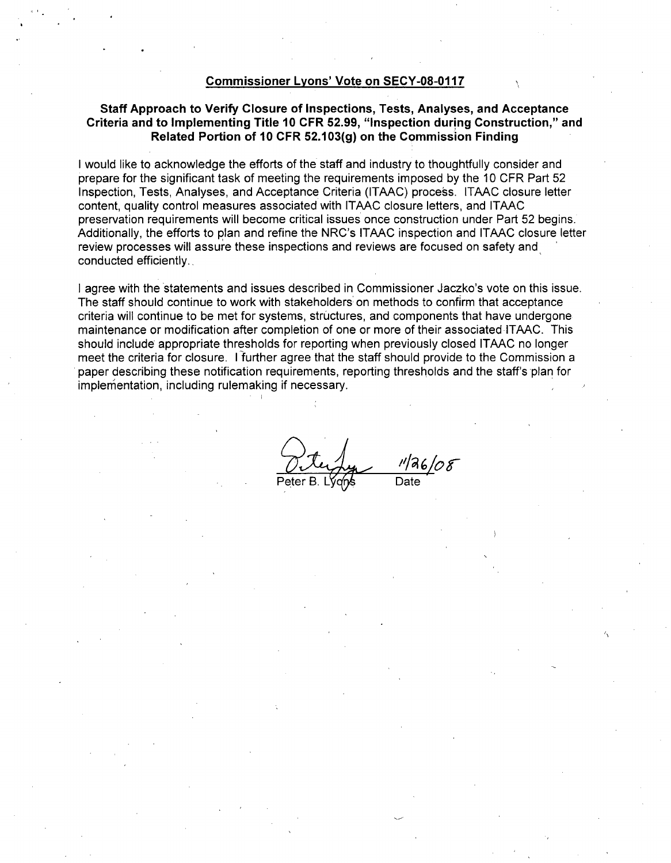#### Commissioner Lyons' Vote on **SECY-08-0117**

### Staff Approach to Verify Closure of Inspections, Tests, Analyses, and Acceptance Criteria and to Implementing Title **10** CFR **52.99,** "Inspection during Construction," and Related Portion of **10** CFR **52.103(g)** on the Commission Finding

I would like to acknowledge the efforts of the staff and industry to thoughtfully consider and prepare for the significant task of meeting the requirements imposed by the 10 CFR Part 52 Inspection, Tests, Analyses, and Acceptance Criteria (ITAAC) process. ITAAC closure letter content, quality control measures associated with ITAAC closure letters, and ITAAC preservation requirements will become critical issues once construction under Part 52 begins. Additionally, the efforts to plan and refine the NRC's ITAAC inspection and ITAAC closure letter review processes will assure these inspections and reviews are focused on safety and conducted efficiently.,

I agree with the statements and issues described in Commissioner Jaczko's vote on this issue. The staff should continue to work with stakeholders: on methods to confirm that acceptance criteria will continue to be met for systems, structures, and components that have undergone maintenance or modification after completion of one or more of their associated ITAAC. This should include appropriate thresholds for reporting when previously closed ITAAC no longer meet the criteria for closure. I further agree that the staff should provide to the Commission a paper describing these notification requirements, reporting thresholds and the staff's plan for implementation, including rulemaking if necessary.

Peter B. Lyqns Date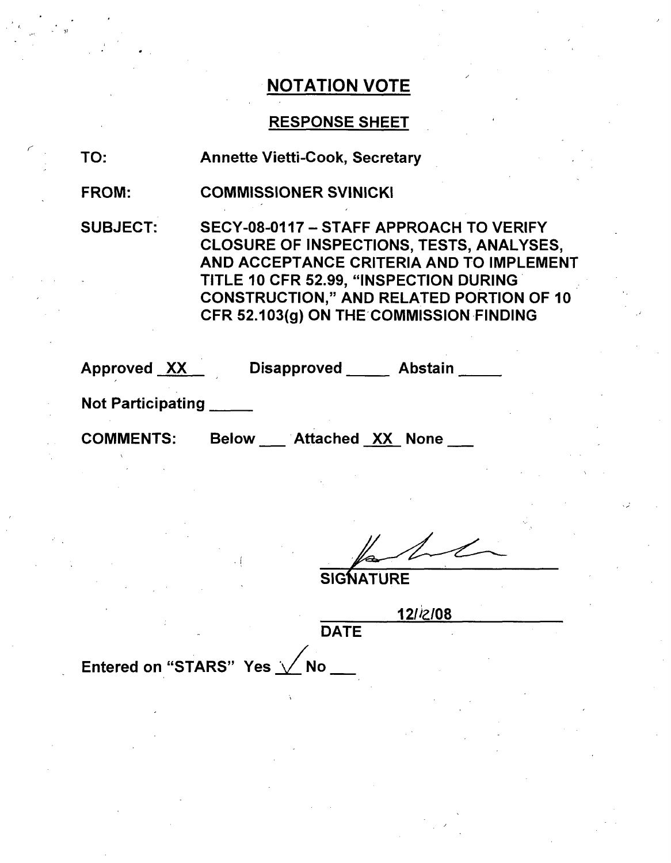### RESPONSE SHEET

TO: Annette Vietti-Cook, Secretary

FROM: COMMISSIONER SVINICKI

SUBJECT: SECY-08-0117 - STAFF APPROACH TO VERIFY CLOSURE OF INSPECTIONS, TESTS, ANALYSES, AND ACCEPTANCE CRITERIA AND TO IMPLEMENT TITLE 10 CFR 52.99, "INSPECTION DURING CONSTRUCTION," AND RELATED PORTION OF 10 CFR 52.103(g) ON THE'COMMISSION FINDING

| Approved <u>XX</u> |  | Disapproved _____ | <b>Abstain</b> |  |
|--------------------|--|-------------------|----------------|--|
|                    |  |                   |                |  |

Not Participating **\_**

COMMENTS: Below \_\_ Attached XX None \_

**SIGNATURE** 

12/i2/08

DATE

Entered on "STARS" Yes  $\sqrt{N}$